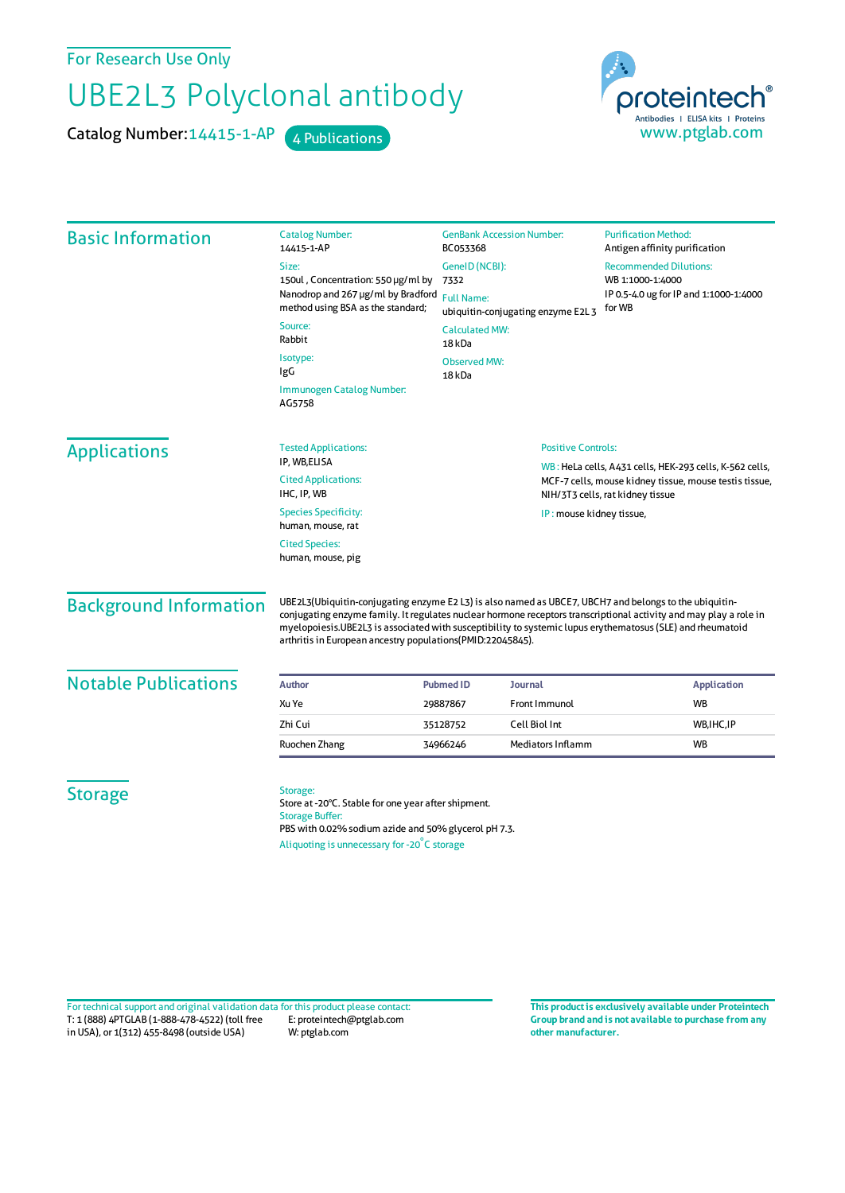For Research Use Only

## UBE2L3 Polyclonal antibody

Catalog Number: 14415-1-AP 4 Publications



| <b>Basic Information</b>      | <b>Catalog Number:</b><br>14415-1-AP                                                                                                                                                                                                                                                                                                                                                                    | <b>GenBank Accession Number:</b><br>BC053368                                                       |                                                         | <b>Purification Method:</b><br>Antigen affinity purification         |
|-------------------------------|---------------------------------------------------------------------------------------------------------------------------------------------------------------------------------------------------------------------------------------------------------------------------------------------------------------------------------------------------------------------------------------------------------|----------------------------------------------------------------------------------------------------|---------------------------------------------------------|----------------------------------------------------------------------|
|                               | Size:                                                                                                                                                                                                                                                                                                                                                                                                   | GeneID (NCBI):                                                                                     |                                                         | <b>Recommended Dilutions:</b>                                        |
|                               | 150ul, Concentration: 550 µg/ml by<br>Nanodrop and 267 µg/ml by Bradford                                                                                                                                                                                                                                                                                                                                | 7332<br><b>Full Name:</b><br>ubiquitin-conjugating enzyme E2L 3<br><b>Calculated MW:</b><br>18 kDa |                                                         | WB 1:1000-1:4000<br>IP 0.5-4.0 ug for IP and 1:1000-1:4000<br>for WB |
|                               | method using BSA as the standard;                                                                                                                                                                                                                                                                                                                                                                       |                                                                                                    |                                                         |                                                                      |
|                               | Source:<br>Rabbit                                                                                                                                                                                                                                                                                                                                                                                       |                                                                                                    |                                                         |                                                                      |
|                               | Isotype:<br>IgG                                                                                                                                                                                                                                                                                                                                                                                         | <b>Observed MW:</b><br>18 kDa                                                                      |                                                         |                                                                      |
|                               | Immunogen Catalog Number:<br>AG5758                                                                                                                                                                                                                                                                                                                                                                     |                                                                                                    |                                                         |                                                                      |
| <b>Applications</b>           | <b>Tested Applications:</b>                                                                                                                                                                                                                                                                                                                                                                             | <b>Positive Controls:</b>                                                                          |                                                         |                                                                      |
|                               | IP, WB,ELISA                                                                                                                                                                                                                                                                                                                                                                                            |                                                                                                    | WB: HeLa cells, A431 cells, HEK-293 cells, K-562 cells, |                                                                      |
|                               | <b>Cited Applications:</b><br>IHC, IP, WB                                                                                                                                                                                                                                                                                                                                                               | MCF-7 cells, mouse kidney tissue, mouse testis tissue,<br>NIH/3T3 cells, rat kidney tissue         |                                                         |                                                                      |
|                               | <b>Species Specificity:</b><br>human, mouse, rat                                                                                                                                                                                                                                                                                                                                                        | IP: mouse kidney tissue,                                                                           |                                                         |                                                                      |
|                               | <b>Cited Species:</b><br>human, mouse, pig                                                                                                                                                                                                                                                                                                                                                              |                                                                                                    |                                                         |                                                                      |
| <b>Background Information</b> | UBE2L3(Ubiquitin-conjugating enzyme E2 L3) is also named as UBCE7, UBCH7 and belongs to the ubiquitin-<br>conjugating enzyme family. It regulates nuclear hormone receptors transcriptional activity and may play a role in<br>myelopoiesis.UBE2L3 is associated with susceptibility to systemic lupus erythematosus (SLE) and rheumatoid<br>arthritis in European ancestry populations(PMID:22045845). |                                                                                                    |                                                         |                                                                      |
| <b>Notable Publications</b>   | <b>Author</b>                                                                                                                                                                                                                                                                                                                                                                                           | Journal<br><b>Pubmed ID</b>                                                                        |                                                         | <b>Application</b>                                                   |
|                               | Xu Ye                                                                                                                                                                                                                                                                                                                                                                                                   | 29887867                                                                                           | Front Immunol                                           | <b>WB</b>                                                            |
|                               | Zhi Cui                                                                                                                                                                                                                                                                                                                                                                                                 | 35128752                                                                                           | Cell Biol Int                                           | WB, IHC, IP                                                          |
|                               | Ruochen Zhang                                                                                                                                                                                                                                                                                                                                                                                           | 34966246                                                                                           | Mediators Inflamm<br><b>WB</b>                          |                                                                      |
| <b>Storage</b>                | Storage:<br>Store at -20°C. Stable for one year after shipment.<br><b>Storage Buffer:</b><br>PBS with 0.02% sodium azide and 50% glycerol pH 7.3.<br>Aliquoting is unnecessary for -20°C storage                                                                                                                                                                                                        |                                                                                                    |                                                         |                                                                      |

T: 1 (888) 4PTGLAB (1-888-478-4522) (toll free in USA), or 1(312) 455-8498 (outside USA) E: proteintech@ptglab.com W: ptglab.com Fortechnical support and original validation data forthis product please contact: **This productis exclusively available under Proteintech**

**Group brand and is not available to purchase from any other manufacturer.**